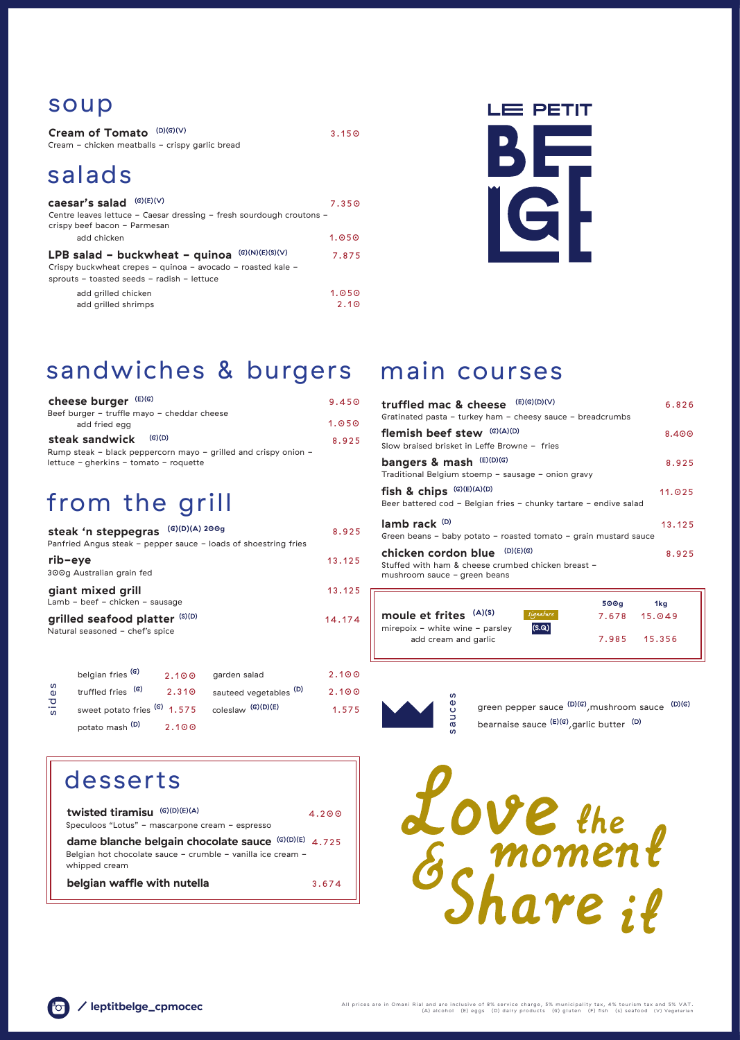3.674

Love the<br>Es moment

# from the grill

### soup

## sandwiches & burgers main courses

add grilled shrimps 2.10

All prices are in Omani Rial and are inclusive of 8% service charge, 5% municipality tax, 4% tourism tax and 5% VAT. (A) alcohol (E) eggs (D) dairy products (G) gluten (F) fish (s) seafood (V) Vegetarian



### desserts

potato mash  $(D)$  2.100

4.200 Speculoos "Lotus" - mascarpone cream - espresso Belgian hot chocolate sauce - crumble - vanilla ice cream whipped cream **dame blanche belgain chocolate sauce (G)(D)(E)** 4.725 **twisted tiramisu**

| Cream of Tomato (D)(G)(V)<br>Cream - chicken meatballs - crispy garlic bread                                                                                   | 3.150             |
|----------------------------------------------------------------------------------------------------------------------------------------------------------------|-------------------|
| salads                                                                                                                                                         |                   |
| (G)(E)(V)<br>caesar's salad<br>Centre leaves lettuce - Caesar dressing - fresh sourdough croutons -<br>crispy beef bacon - Parmesan                            | 7.35 <sub>°</sub> |
| add chicken                                                                                                                                                    | 1.050             |
| (G)(N)(E)(S)(V)<br>LPB salad - buckwheat - quinoa<br>Crispy buckwheat crepes - quinoa - avocado - roasted kale -<br>sprouts - toasted seeds - radish - lettuce | 7.875             |
| add grilled chicken                                                                                                                                            | 1.050             |



| cheese burger (E)(G)                                                              | 9.450 | truffled mac & cheese            |
|-----------------------------------------------------------------------------------|-------|----------------------------------|
| Beef burger - truffle mayo - cheddar cheese                                       | 1.050 | Gratinated pasta - turkey ham    |
| add fried egg<br>(G)(D)                                                           |       | flemish beef stew (G)(A          |
| steak sandwick<br>Rump steak - black peppercorn mayo - grilled and crispy onion - | 8.925 | Slow braised brisket in Leffe Br |
| lettuce - gherkins - tomato - roquette                                            |       | bangers & mash (E)(D)(G          |

|                                 |           | 500q  | 1ka          |  |
|---------------------------------|-----------|-------|--------------|--|
| moule et frites (A)(S)          | signature |       | 7.678 15.049 |  |
| mirepoix - white wine - parsley | (S.Q)     |       |              |  |
| add cream and garlic            |           | 7.985 | 15.356       |  |
|                                 |           |       |              |  |

|                  | steak 'n steppegras                                               | (G)(D)(A) 200g |                                                                 | 8.925  |
|------------------|-------------------------------------------------------------------|----------------|-----------------------------------------------------------------|--------|
|                  |                                                                   |                | Panfried Angus steak - pepper sauce - loads of shoestring fries |        |
| rib-eye          | 300g Australian grain fed                                         |                |                                                                 | 13.125 |
|                  | giant mixed grill<br>Lamb - beef - chicken - sausage              |                |                                                                 | 13.125 |
|                  | grilled seafood platter (S)(D)<br>Natural seasoned - chef's spice |                |                                                                 | 14.174 |
|                  | belgian fries <sup>(G)</sup>                                      | 2.100          | garden salad                                                    | 2.100  |
| ທ<br>$\mathbf 0$ | (G)<br>truffled fries                                             | 2.310          | sauteed vegetables <sup>(D)</sup>                               | 2.100  |
| <b>bis</b>       | sweet potato fries (G) 1.575                                      |                | coleslaw <sup>(G)(D)(E)</sup>                                   | 1.575  |

| (E)(G)(D)(V)<br>truffled mac & cheese<br>Gratinated pasta - turkey ham - cheesy sauce - breadcrumbs                    | 6.826  |
|------------------------------------------------------------------------------------------------------------------------|--------|
| flemish beef stew (G)(A)(D)<br>Slow braised brisket in Leffe Browne - fries                                            | 8.400  |
| bangers & mash (E)(D)(G)<br>Traditional Belgium stoemp - sausage - onion gravy                                         | 8.925  |
| fish & chips $(G)(E)(A)(D)$<br>Beer battered cod - Belgian fries - chunky tartare - endive salad                       | 11.025 |
| lamb rack $(D)$<br>Green beans - baby potato - roasted tomato - grain mustard sauce                                    | 13.125 |
| (D)(E)(G)<br>chicken cordon blue<br>Stuffed with ham & cheese crumbed chicken breast -<br>mushroom sauce - green beans | 8.925  |
|                                                                                                                        |        |

**belgian waffle with nutella**